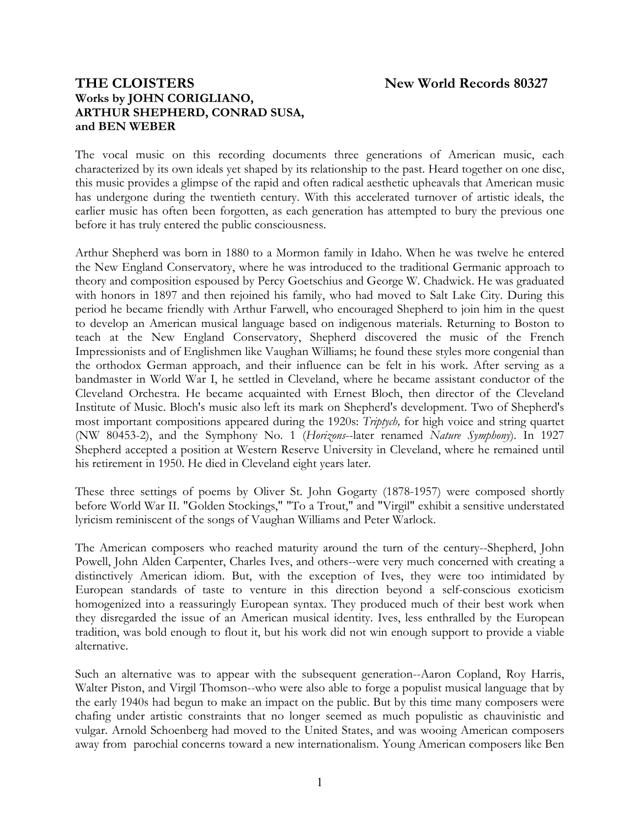## **THE CLOISTERS New World Records 80327 Works by JOHN CORIGLIANO, ARTHUR SHEPHERD, CONRAD SUSA, and BEN WEBER**

The vocal music on this recording documents three generations of American music, each characterized by its own ideals yet shaped by its relationship to the past. Heard together on one disc, this music provides a glimpse of the rapid and often radical aesthetic upheavals that American music has undergone during the twentieth century. With this accelerated turnover of artistic ideals, the earlier music has often been forgotten, as each generation has attempted to bury the previous one before it has truly entered the public consciousness.

Arthur Shepherd was born in 1880 to a Mormon family in Idaho. When he was twelve he entered the New England Conservatory, where he was introduced to the traditional Germanic approach to theory and composition espoused by Percy Goetschius and George W. Chadwick. He was graduated with honors in 1897 and then rejoined his family, who had moved to Salt Lake City. During this period he became friendly with Arthur Farwell, who encouraged Shepherd to join him in the quest to develop an American musical language based on indigenous materials. Returning to Boston to teach at the New England Conservatory, Shepherd discovered the music of the French Impressionists and of Englishmen like Vaughan Williams; he found these styles more congenial than the orthodox German approach, and their influence can be felt in his work. After serving as a bandmaster in World War I, he settled in Cleveland, where he became assistant conductor of the Cleveland Orchestra. He became acquainted with Ernest Bloch, then director of the Cleveland Institute of Music. Bloch's music also left its mark on Shepherd's development. Two of Shepherd's most important compositions appeared during the 1920s: *Triptych,* for high voice and string quartet (NW 80453-2), and the Symphony No. 1 (*Horizons*--later renamed *Nature Symphony*). In 1927 Shepherd accepted a position at Western Reserve University in Cleveland, where he remained until his retirement in 1950. He died in Cleveland eight years later.

These three settings of poems by Oliver St. John Gogarty (1878-1957) were composed shortly before World War II. "Golden Stockings," "To a Trout," and "Virgil" exhibit a sensitive understated lyricism reminiscent of the songs of Vaughan Williams and Peter Warlock.

The American composers who reached maturity around the turn of the century--Shepherd, John Powell, John Alden Carpenter, Charles Ives, and others--were very much concerned with creating a distinctively American idiom. But, with the exception of Ives, they were too intimidated by European standards of taste to venture in this direction beyond a self-conscious exoticism homogenized into a reassuringly European syntax. They produced much of their best work when they disregarded the issue of an American musical identity. Ives, less enthralled by the European tradition, was bold enough to flout it, but his work did not win enough support to provide a viable alternative.

Such an alternative was to appear with the subsequent generation--Aaron Copland, Roy Harris, Walter Piston, and Virgil Thomson--who were also able to forge a populist musical language that by the early 1940s had begun to make an impact on the public. But by this time many composers were chafing under artistic constraints that no longer seemed as much populistic as chauvinistic and vulgar. Arnold Schoenberg had moved to the United States, and was wooing American composers away from parochial concerns toward a new internationalism. Young American composers like Ben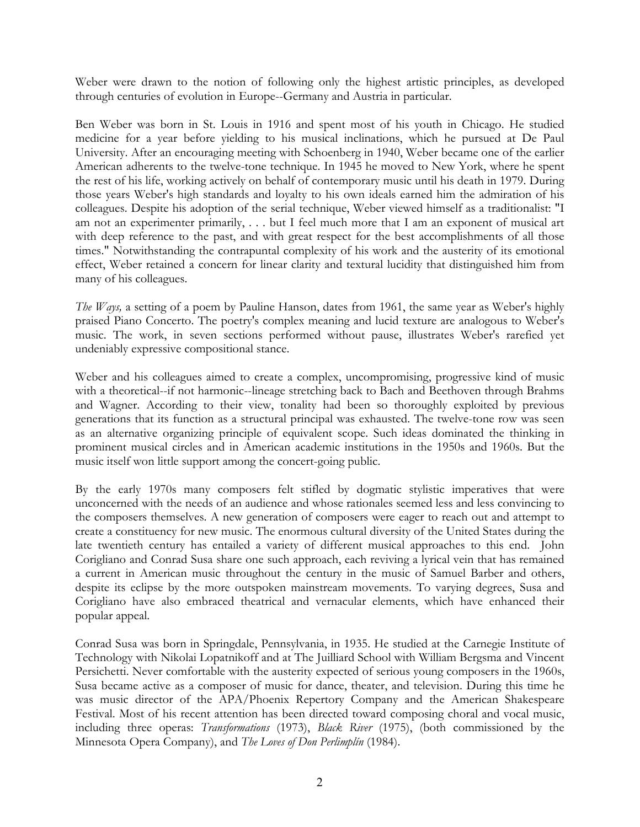Weber were drawn to the notion of following only the highest artistic principles, as developed through centuries of evolution in Europe--Germany and Austria in particular.

Ben Weber was born in St. Louis in 1916 and spent most of his youth in Chicago. He studied medicine for a year before yielding to his musical inclinations, which he pursued at De Paul University. After an encouraging meeting with Schoenberg in 1940, Weber became one of the earlier American adherents to the twelve-tone technique. In 1945 he moved to New York, where he spent the rest of his life, working actively on behalf of contemporary music until his death in 1979. During those years Weber's high standards and loyalty to his own ideals earned him the admiration of his colleagues. Despite his adoption of the serial technique, Weber viewed himself as a traditionalist: "I am not an experimenter primarily, . . . but I feel much more that I am an exponent of musical art with deep reference to the past, and with great respect for the best accomplishments of all those times." Notwithstanding the contrapuntal complexity of his work and the austerity of its emotional effect, Weber retained a concern for linear clarity and textural lucidity that distinguished him from many of his colleagues.

*The Ways,* a setting of a poem by Pauline Hanson, dates from 1961, the same year as Weber's highly praised Piano Concerto. The poetry's complex meaning and lucid texture are analogous to Weber's music. The work, in seven sections performed without pause, illustrates Weber's rarefied yet undeniably expressive compositional stance.

Weber and his colleagues aimed to create a complex, uncompromising, progressive kind of music with a theoretical--if not harmonic--lineage stretching back to Bach and Beethoven through Brahms and Wagner. According to their view, tonality had been so thoroughly exploited by previous generations that its function as a structural principal was exhausted. The twelve-tone row was seen as an alternative organizing principle of equivalent scope. Such ideas dominated the thinking in prominent musical circles and in American academic institutions in the 1950s and 1960s. But the music itself won little support among the concert-going public.

By the early 1970s many composers felt stifled by dogmatic stylistic imperatives that were unconcerned with the needs of an audience and whose rationales seemed less and less convincing to the composers themselves. A new generation of composers were eager to reach out and attempt to create a constituency for new music. The enormous cultural diversity of the United States during the late twentieth century has entailed a variety of different musical approaches to this end. John Corigliano and Conrad Susa share one such approach, each reviving a lyrical vein that has remained a current in American music throughout the century in the music of Samuel Barber and others, despite its eclipse by the more outspoken mainstream movements. To varying degrees, Susa and Corigliano have also embraced theatrical and vernacular elements, which have enhanced their popular appeal.

Conrad Susa was born in Springdale, Pennsylvania, in 1935. He studied at the Carnegie Institute of Technology with Nikolai Lopatnikoff and at The Juilliard School with William Bergsma and Vincent Persichetti. Never comfortable with the austerity expected of serious young composers in the 1960s, Susa became active as a composer of music for dance, theater, and television. During this time he was music director of the APA/Phoenix Repertory Company and the American Shakespeare Festival. Most of his recent attention has been directed toward composing choral and vocal music, including three operas: *Transformations* (1973), *Black River* (1975), (both commissioned by the Minnesota Opera Company), and *The Loves of Don Perlimplín* (1984).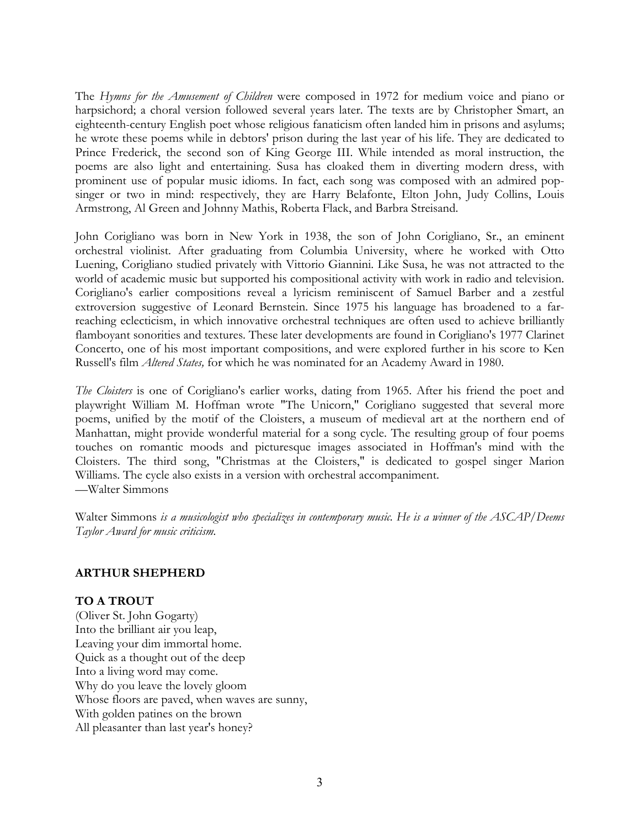The *Hymns for the Amusement of Children* were composed in 1972 for medium voice and piano or harpsichord; a choral version followed several years later. The texts are by Christopher Smart, an eighteenth-century English poet whose religious fanaticism often landed him in prisons and asylums; he wrote these poems while in debtors' prison during the last year of his life. They are dedicated to Prince Frederick, the second son of King George III. While intended as moral instruction, the poems are also light and entertaining. Susa has cloaked them in diverting modern dress, with prominent use of popular music idioms. In fact, each song was composed with an admired popsinger or two in mind: respectively, they are Harry Belafonte, Elton John, Judy Collins, Louis Armstrong, Al Green and Johnny Mathis, Roberta Flack, and Barbra Streisand.

John Corigliano was born in New York in 1938, the son of John Corigliano, Sr., an eminent orchestral violinist. After graduating from Columbia University, where he worked with Otto Luening, Corigliano studied privately with Vittorio Giannini. Like Susa, he was not attracted to the world of academic music but supported his compositional activity with work in radio and television. Corigliano's earlier compositions reveal a lyricism reminiscent of Samuel Barber and a zestful extroversion suggestive of Leonard Bernstein. Since 1975 his language has broadened to a farreaching eclecticism, in which innovative orchestral techniques are often used to achieve brilliantly flamboyant sonorities and textures. These later developments are found in Corigliano's 1977 Clarinet Concerto, one of his most important compositions, and were explored further in his score to Ken Russell's film *Altered States,* for which he was nominated for an Academy Award in 1980.

*The Cloisters* is one of Corigliano's earlier works, dating from 1965. After his friend the poet and playwright William M. Hoffman wrote "The Unicorn," Corigliano suggested that several more poems, unified by the motif of the Cloisters, a museum of medieval art at the northern end of Manhattan, might provide wonderful material for a song cycle. The resulting group of four poems touches on romantic moods and picturesque images associated in Hoffman's mind with the Cloisters. The third song, "Christmas at the Cloisters," is dedicated to gospel singer Marion Williams. The cycle also exists in a version with orchestral accompaniment. —Walter Simmons

Walter Simmons *is a musicologist who specializes in contemporary music. He is a winner of the ASCAP/Deems Taylor Award for music criticism.*

## **ARTHUR SHEPHERD**

## **TO A TROUT**

(Oliver St. John Gogarty) Into the brilliant air you leap, Leaving your dim immortal home. Quick as a thought out of the deep Into a living word may come. Why do you leave the lovely gloom Whose floors are paved, when waves are sunny, With golden patines on the brown All pleasanter than last year's honey?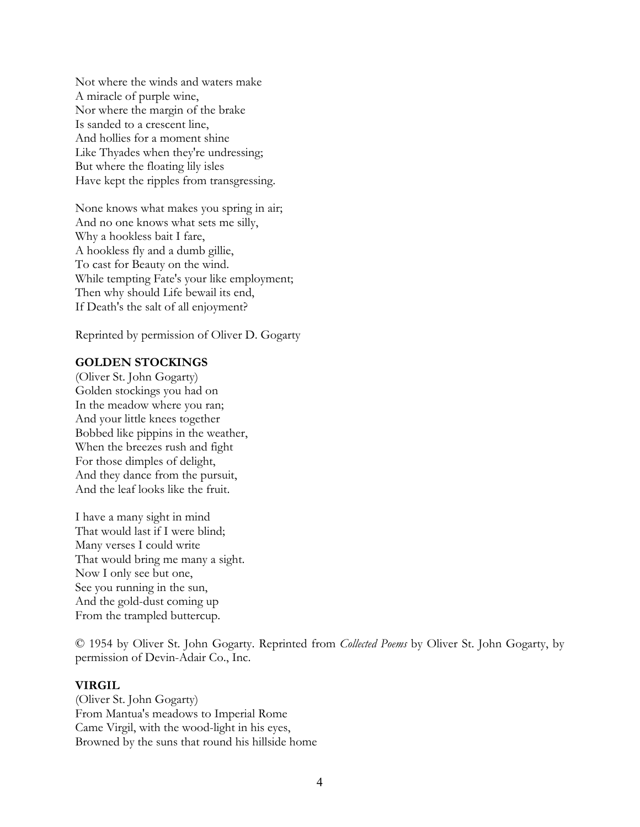Not where the winds and waters make A miracle of purple wine, Nor where the margin of the brake Is sanded to a crescent line, And hollies for a moment shine Like Thyades when they're undressing; But where the floating lily isles Have kept the ripples from transgressing.

None knows what makes you spring in air; And no one knows what sets me silly, Why a hookless bait I fare, A hookless fly and a dumb gillie, To cast for Beauty on the wind. While tempting Fate's your like employment; Then why should Life bewail its end, If Death's the salt of all enjoyment?

Reprinted by permission of Oliver D. Gogarty

#### **GOLDEN STOCKINGS**

(Oliver St. John Gogarty) Golden stockings you had on In the meadow where you ran; And your little knees together Bobbed like pippins in the weather, When the breezes rush and fight For those dimples of delight, And they dance from the pursuit, And the leaf looks like the fruit.

I have a many sight in mind That would last if I were blind; Many verses I could write That would bring me many a sight. Now I only see but one, See you running in the sun, And the gold-dust coming up From the trampled buttercup.

© 1954 by Oliver St. John Gogarty. Reprinted from *Collected Poems* by Oliver St. John Gogarty, by permission of Devin-Adair Co., Inc.

#### **VIRGIL**

(Oliver St. John Gogarty) From Mantua's meadows to Imperial Rome Came Virgil, with the wood-light in his eyes, Browned by the suns that round his hillside home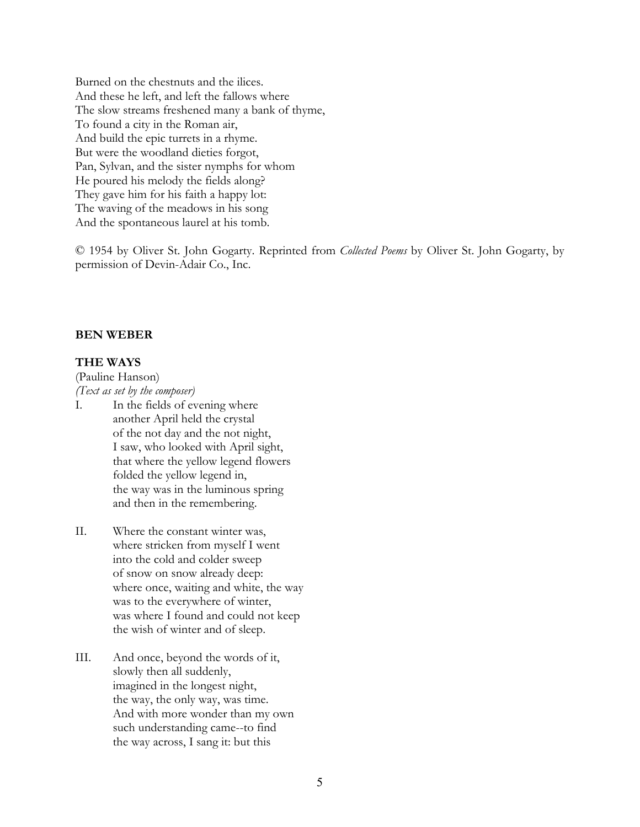Burned on the chestnuts and the ilices. And these he left, and left the fallows where The slow streams freshened many a bank of thyme, To found a city in the Roman air, And build the epic turrets in a rhyme. But were the woodland dieties forgot, Pan, Sylvan, and the sister nymphs for whom He poured his melody the fields along? They gave him for his faith a happy lot: The waving of the meadows in his song And the spontaneous laurel at his tomb.

© 1954 by Oliver St. John Gogarty. Reprinted from *Collected Poems* by Oliver St. John Gogarty, by permission of Devin-Adair Co., Inc.

#### **BEN WEBER**

### **THE WAYS**

(Pauline Hanson) *(Text as set by the composer)*

- I. In the fields of evening where another April held the crystal of the not day and the not night, I saw, who looked with April sight, that where the yellow legend flowers folded the yellow legend in, the way was in the luminous spring and then in the remembering.
- II. Where the constant winter was, where stricken from myself I went into the cold and colder sweep of snow on snow already deep: where once, waiting and white, the way was to the everywhere of winter, was where I found and could not keep the wish of winter and of sleep.
- III. And once, beyond the words of it, slowly then all suddenly, imagined in the longest night, the way, the only way, was time. And with more wonder than my own such understanding came--to find the way across, I sang it: but this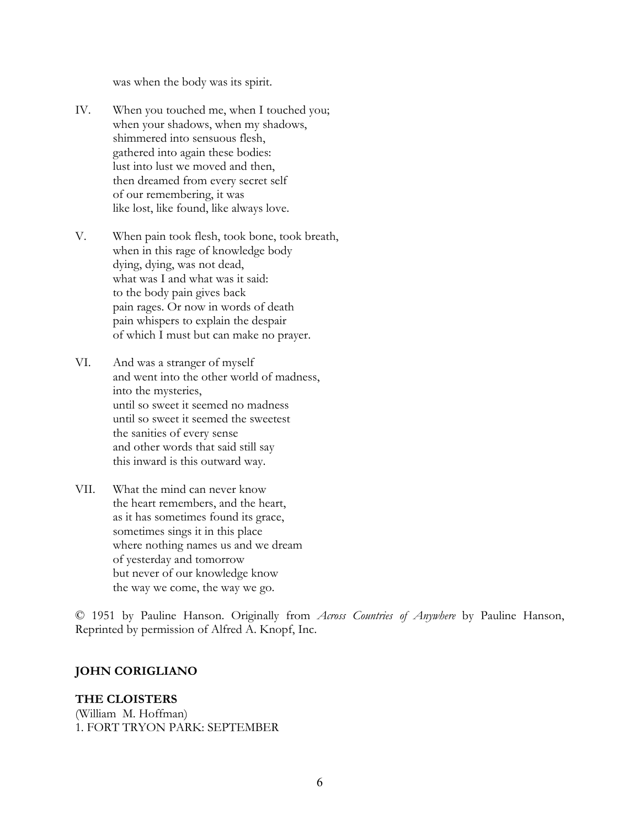was when the body was its spirit.

- IV. When you touched me, when I touched you; when your shadows, when my shadows, shimmered into sensuous flesh, gathered into again these bodies: lust into lust we moved and then, then dreamed from every secret self of our remembering, it was like lost, like found, like always love.
- V. When pain took flesh, took bone, took breath, when in this rage of knowledge body dying, dying, was not dead, what was I and what was it said: to the body pain gives back pain rages. Or now in words of death pain whispers to explain the despair of which I must but can make no prayer.
- VI. And was a stranger of myself and went into the other world of madness, into the mysteries, until so sweet it seemed no madness until so sweet it seemed the sweetest the sanities of every sense and other words that said still say this inward is this outward way.
- VII. What the mind can never know the heart remembers, and the heart, as it has sometimes found its grace, sometimes sings it in this place where nothing names us and we dream of yesterday and tomorrow but never of our knowledge know the way we come, the way we go.

© 1951 by Pauline Hanson. Originally from *Across Countries of Anywhere* by Pauline Hanson, Reprinted by permission of Alfred A. Knopf, Inc.

## **JOHN CORIGLIANO**

## **THE CLOISTERS**

(William M. Hoffman) 1. FORT TRYON PARK: SEPTEMBER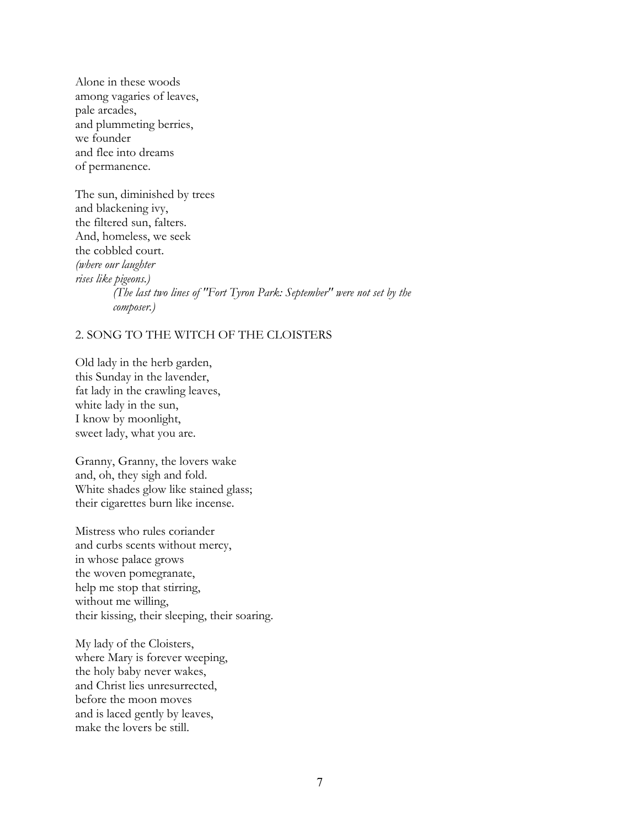Alone in these woods among vagaries of leaves, pale arcades, and plummeting berries, we founder and flee into dreams of permanence.

The sun, diminished by trees and blackening ivy, the filtered sun, falters. And, homeless, we seek the cobbled court. *(where our laughter rises like pigeons.) (The last two lines of "Fort Tyron Park: September" were not set by the composer.)*

#### 2. SONG TO THE WITCH OF THE CLOISTERS

Old lady in the herb garden, this Sunday in the lavender, fat lady in the crawling leaves, white lady in the sun, I know by moonlight, sweet lady, what you are.

Granny, Granny, the lovers wake and, oh, they sigh and fold. White shades glow like stained glass; their cigarettes burn like incense.

Mistress who rules coriander and curbs scents without mercy, in whose palace grows the woven pomegranate, help me stop that stirring, without me willing, their kissing, their sleeping, their soaring.

My lady of the Cloisters, where Mary is forever weeping, the holy baby never wakes, and Christ lies unresurrected, before the moon moves and is laced gently by leaves, make the lovers be still.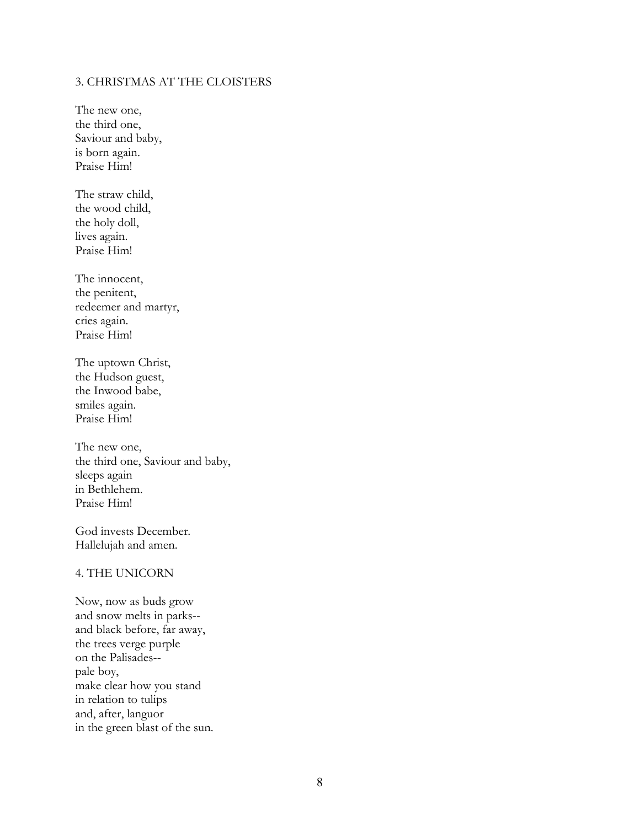#### 3. CHRISTMAS AT THE CLOISTERS

The new one, the third one, Saviour and baby, is born again. Praise Him!

The straw child, the wood child, the holy doll, lives again. Praise Him!

The innocent, the penitent, redeemer and martyr, cries again. Praise Him!

The uptown Christ, the Hudson guest, the Inwood babe, smiles again. Praise Him!

The new one, the third one, Saviour and baby, sleeps again in Bethlehem. Praise Him!

God invests December. Hallelujah and amen.

#### 4. THE UNICORN

Now, now as buds grow and snow melts in parks- and black before, far away, the trees verge purple on the Palisades- pale boy, make clear how you stand in relation to tulips and, after, languor in the green blast of the sun.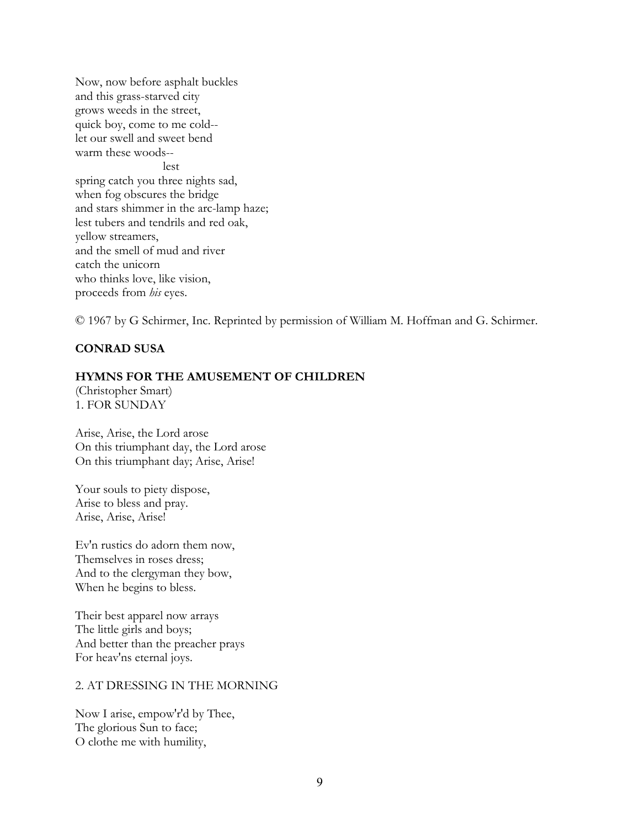Now, now before asphalt buckles and this grass-starved city grows weeds in the street, quick boy, come to me cold- let our swell and sweet bend warm these woods- lest spring catch you three nights sad, when fog obscures the bridge and stars shimmer in the arc-lamp haze; lest tubers and tendrils and red oak, yellow streamers, and the smell of mud and river catch the unicorn who thinks love, like vision, proceeds from *his* eyes.

© 1967 by G Schirmer, Inc. Reprinted by permission of William M. Hoffman and G. Schirmer.

## **CONRAD SUSA**

#### **HYMNS FOR THE AMUSEMENT OF CHILDREN**

(Christopher Smart) 1. FOR SUNDAY

Arise, Arise, the Lord arose On this triumphant day, the Lord arose On this triumphant day; Arise, Arise!

Your souls to piety dispose, Arise to bless and pray. Arise, Arise, Arise!

Ev'n rustics do adorn them now, Themselves in roses dress; And to the clergyman they bow, When he begins to bless.

Their best apparel now arrays The little girls and boys; And better than the preacher prays For heav'ns eternal joys.

#### 2. AT DRESSING IN THE MORNING

Now I arise, empow'r'd by Thee, The glorious Sun to face; O clothe me with humility,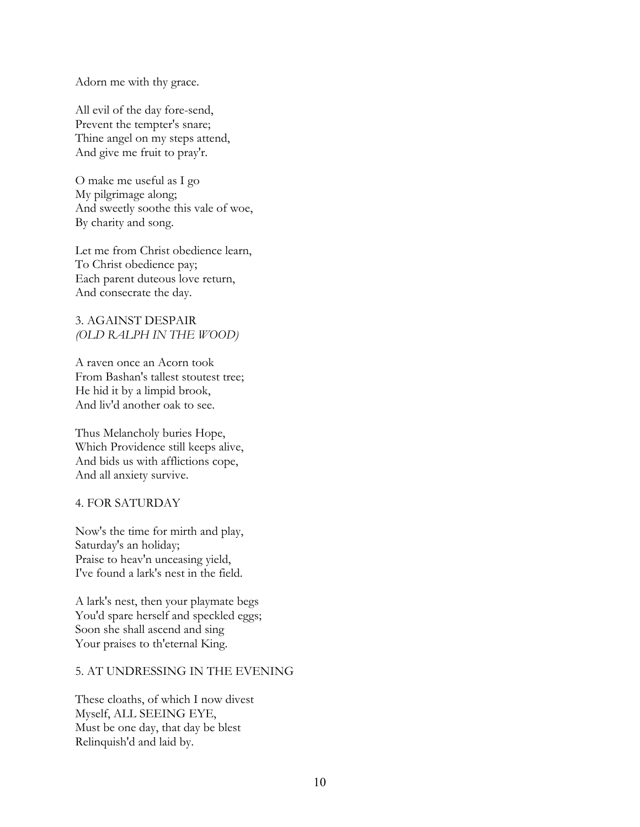Adorn me with thy grace.

All evil of the day fore-send, Prevent the tempter's snare; Thine angel on my steps attend, And give me fruit to pray'r.

O make me useful as I go My pilgrimage along; And sweetly soothe this vale of woe, By charity and song.

Let me from Christ obedience learn, To Christ obedience pay; Each parent duteous love return, And consecrate the day.

#### 3. AGAINST DESPAIR *(OLD RALPH IN THE WOOD)*

A raven once an Acorn took From Bashan's tallest stoutest tree; He hid it by a limpid brook, And liv'd another oak to see.

Thus Melancholy buries Hope, Which Providence still keeps alive, And bids us with afflictions cope, And all anxiety survive.

#### 4. FOR SATURDAY

Now's the time for mirth and play, Saturday's an holiday; Praise to heav'n unceasing yield, I've found a lark's nest in the field.

A lark's nest, then your playmate begs You'd spare herself and speckled eggs; Soon she shall ascend and sing Your praises to th'eternal King.

#### 5. AT UNDRESSING IN THE EVENING

These cloaths, of which I now divest Myself, ALL SEEING EYE, Must be one day, that day be blest Relinquish'd and laid by.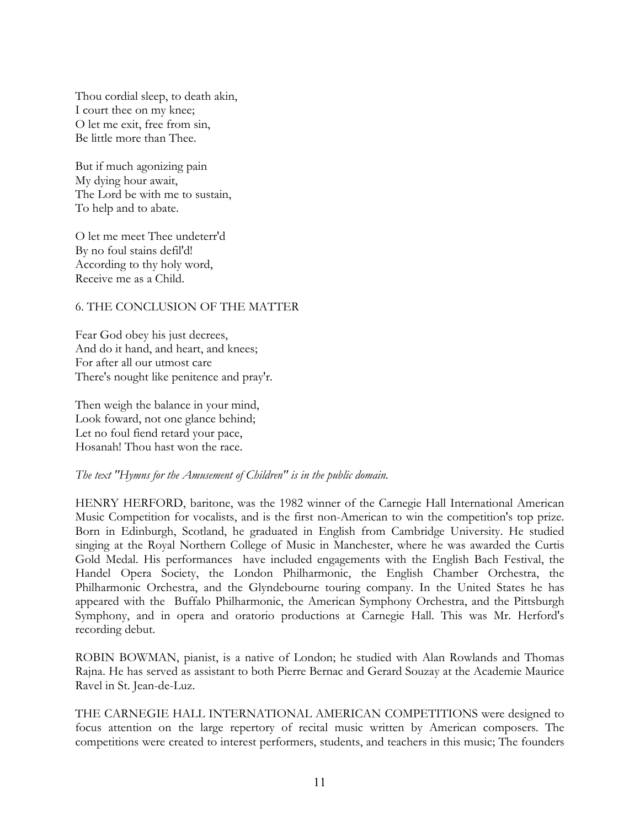Thou cordial sleep, to death akin, I court thee on my knee; O let me exit, free from sin, Be little more than Thee.

But if much agonizing pain My dying hour await, The Lord be with me to sustain, To help and to abate.

O let me meet Thee undeterr'd By no foul stains defil'd! According to thy holy word, Receive me as a Child.

### 6. THE CONCLUSION OF THE MATTER

Fear God obey his just decrees, And do it hand, and heart, and knees; For after all our utmost care There's nought like penitence and pray'r.

Then weigh the balance in your mind, Look foward, not one glance behind; Let no foul fiend retard your pace, Hosanah! Thou hast won the race.

#### *The text "Hymns for the Amusement of Children" is in the public domain.*

HENRY HERFORD, baritone, was the 1982 winner of the Carnegie Hall International American Music Competition for vocalists, and is the first non-American to win the competition's top prize. Born in Edinburgh, Scotland, he graduated in English from Cambridge University. He studied singing at the Royal Northern College of Music in Manchester, where he was awarded the Curtis Gold Medal. His performances have included engagements with the English Bach Festival, the Handel Opera Society, the London Philharmonic, the English Chamber Orchestra, the Philharmonic Orchestra, and the Glyndebourne touring company. In the United States he has appeared with the Buffalo Philharmonic, the American Symphony Orchestra, and the Pittsburgh Symphony, and in opera and oratorio productions at Carnegie Hall. This was Mr. Herford's recording debut.

ROBIN BOWMAN, pianist, is a native of London; he studied with Alan Rowlands and Thomas Rajna. He has served as assistant to both Pierre Bernac and Gerard Souzay at the Academie Maurice Ravel in St. Jean-de-Luz.

THE CARNEGIE HALL INTERNATIONAL AMERICAN COMPETITIONS were designed to focus attention on the large repertory of recital music written by American composers. The competitions were created to interest performers, students, and teachers in this music; The founders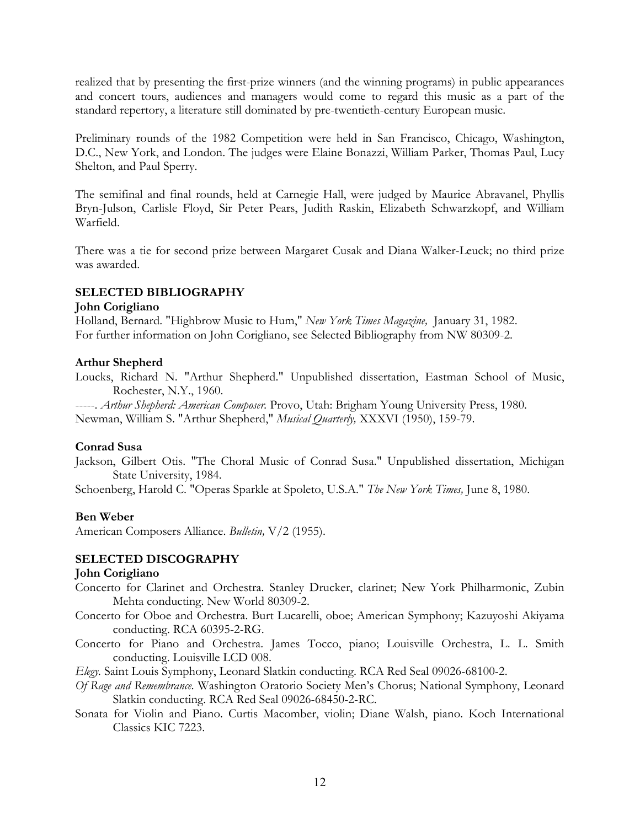realized that by presenting the first-prize winners (and the winning programs) in public appearances and concert tours, audiences and managers would come to regard this music as a part of the standard repertory, a literature still dominated by pre-twentieth-century European music.

Preliminary rounds of the 1982 Competition were held in San Francisco, Chicago, Washington, D.C., New York, and London. The judges were Elaine Bonazzi, William Parker, Thomas Paul, Lucy Shelton, and Paul Sperry.

The semifinal and final rounds, held at Carnegie Hall, were judged by Maurice Abravanel, Phyllis Bryn-Julson, Carlisle Floyd, Sir Peter Pears, Judith Raskin, Elizabeth Schwarzkopf, and William Warfield.

There was a tie for second prize between Margaret Cusak and Diana Walker-Leuck; no third prize was awarded.

## **SELECTED BIBLIOGRAPHY**

### **John Corigliano**

Holland, Bernard. "Highbrow Music to Hum," *New York Times Magazine,* January 31, 1982. For further information on John Corigliano, see Selected Bibliography from NW 80309-2.

## **Arthur Shepherd**

Loucks, Richard N. "Arthur Shepherd." Unpublished dissertation, Eastman School of Music, Rochester, N.Y., 1960.

-----. *Arthur Shepherd: American Composer.* Provo, Utah: Brigham Young University Press, 1980. Newman, William S. "Arthur Shepherd," *Musical Quarterly,* XXXVI (1950), 159-79.

## **Conrad Susa**

Jackson, Gilbert Otis. "The Choral Music of Conrad Susa." Unpublished dissertation, Michigan State University, 1984.

Schoenberg, Harold C. "Operas Sparkle at Spoleto, U.S.A." *The New York Times,* June 8, 1980.

# **Ben Weber**

American Composers Alliance. *Bulletin,* V/2 (1955).

## **SELECTED DISCOGRAPHY**

## **John Corigliano**

- Concerto for Clarinet and Orchestra. Stanley Drucker, clarinet; New York Philharmonic, Zubin Mehta conducting. New World 80309-2.
- Concerto for Oboe and Orchestra. Burt Lucarelli, oboe; American Symphony; Kazuyoshi Akiyama conducting. RCA 60395-2-RG.
- Concerto for Piano and Orchestra. James Tocco, piano; Louisville Orchestra, L. L. Smith conducting. Louisville LCD 008.

*Elegy.* Saint Louis Symphony, Leonard Slatkin conducting. RCA Red Seal 09026-68100-2.

- *Of Rage and Remembrance.* Washington Oratorio Society Men's Chorus; National Symphony, Leonard Slatkin conducting. RCA Red Seal 09026-68450-2-RC.
- Sonata for Violin and Piano. Curtis Macomber, violin; Diane Walsh, piano. Koch International Classics KIC 7223.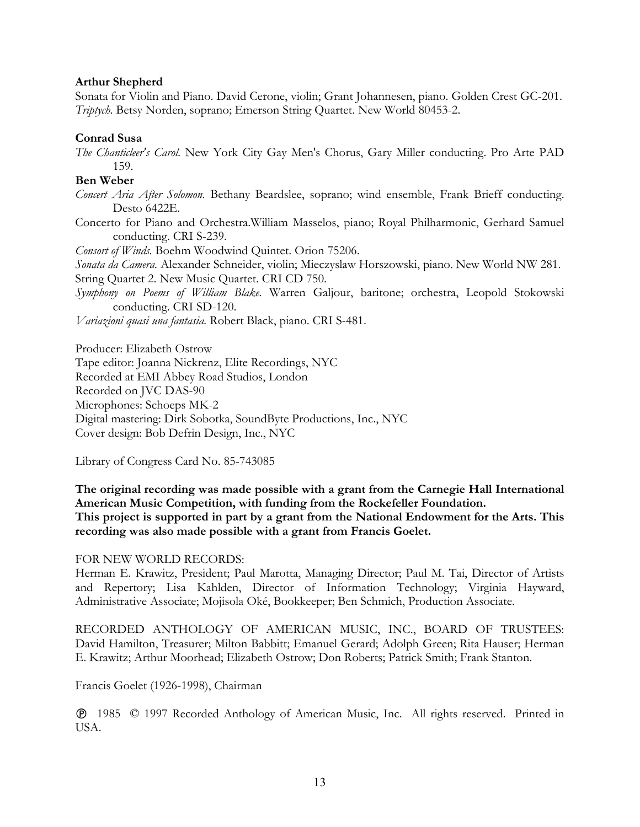### **Arthur Shepherd**

Sonata for Violin and Piano. David Cerone, violin; Grant Johannesen, piano. Golden Crest GC-201. *Triptych.* Betsy Norden, soprano; Emerson String Quartet. New World 80453-2.

#### **Conrad Susa**

*The Chanticleer's Carol.* New York City Gay Men's Chorus, Gary Miller conducting. Pro Arte PAD 159.

### **Ben Weber**

- *Concert Aria After Solomon.* Bethany Beardslee, soprano; wind ensemble, Frank Brieff conducting. Desto 6422E.
- Concerto for Piano and Orchestra.William Masselos, piano; Royal Philharmonic, Gerhard Samuel conducting. CRI S-239.

*Consort of Winds.* Boehm Woodwind Quintet. Orion 75206.

*Sonata da Camera.* Alexander Schneider, violin; Mieczyslaw Horszowski, piano. New World NW 281. String Quartet 2. New Music Quartet. CRI CD 750.

*Symphony on Poems of William Blake.* Warren Galjour, baritone; orchestra, Leopold Stokowski conducting. CRI SD-120.

*Variazioni quasi una fantasia.* Robert Black, piano. CRI S-481.

Producer: Elizabeth Ostrow

Tape editor: Joanna Nickrenz, Elite Recordings, NYC Recorded at EMI Abbey Road Studios, London Recorded on JVC DAS-90 Microphones: Schoeps MK-2 Digital mastering: Dirk Sobotka, SoundByte Productions, Inc., NYC Cover design: Bob Defrin Design, Inc., NYC

Library of Congress Card No. 85-743085

**The original recording was made possible with a grant from the Carnegie Hall International American Music Competition, with funding from the Rockefeller Foundation. This project is supported in part by a grant from the National Endowment for the Arts. This recording was also made possible with a grant from Francis Goelet.** 

#### FOR NEW WORLD RECORDS:

Herman E. Krawitz, President; Paul Marotta, Managing Director; Paul M. Tai, Director of Artists and Repertory; Lisa Kahlden, Director of Information Technology; Virginia Hayward, Administrative Associate; Mojisola Oké, Bookkeeper; Ben Schmich, Production Associate.

RECORDED ANTHOLOGY OF AMERICAN MUSIC, INC., BOARD OF TRUSTEES: David Hamilton, Treasurer; Milton Babbitt; Emanuel Gerard; Adolph Green; Rita Hauser; Herman E. Krawitz; Arthur Moorhead; Elizabeth Ostrow; Don Roberts; Patrick Smith; Frank Stanton.

Francis Goelet (1926-1998), Chairman

 1985 © 1997 Recorded Anthology of American Music, Inc. All rights reserved. Printed in USA.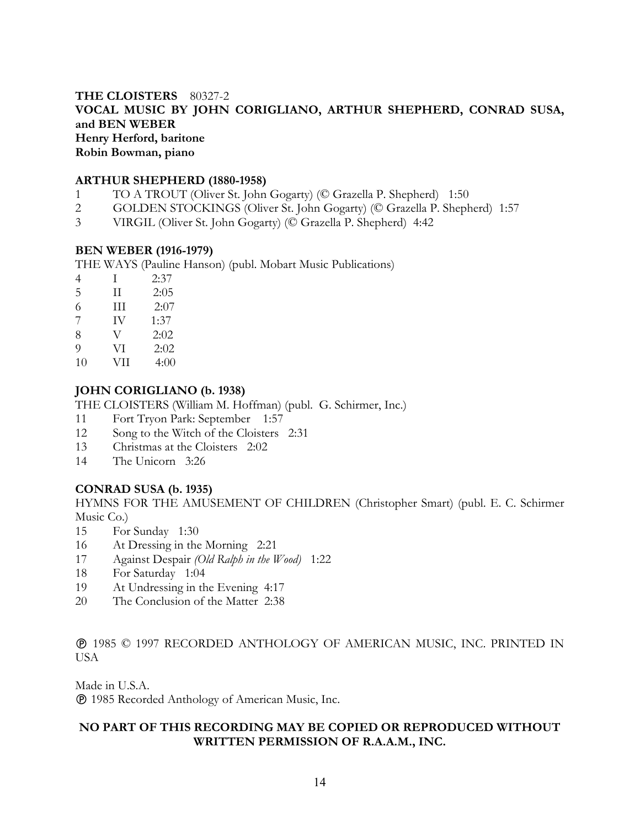# **THE CLOISTERS** 80327-2 **VOCAL MUSIC BY JOHN CORIGLIANO, ARTHUR SHEPHERD, CONRAD SUSA, and BEN WEBER Henry Herford, baritone Robin Bowman, piano**

### **ARTHUR SHEPHERD (1880-1958)**

- 1 TO A TROUT (Oliver St. John Gogarty) (© Grazella P. Shepherd) 1:50
- 2 GOLDEN STOCKINGS (Oliver St. John Gogarty) (© Grazella P. Shepherd) 1:57
- 3 VIRGIL (Oliver St. John Gogarty) (© Grazella P. Shepherd) 4:42

### **BEN WEBER (1916-1979)**

THE WAYS (Pauline Hanson) (publ. Mobart Music Publications)

- 4 I 2:37
- 5 II 2:05
- 6 III 2:07
- 7 IV 1:37
- 8 V 2:02
- 9 VI 2:02
- 10 VII 4:00

# **JOHN CORIGLIANO (b. 1938)**

THE CLOISTERS (William M. Hoffman) (publ. G. Schirmer, Inc.)

- 11 Fort Tryon Park: September 1:57
- 12 Song to the Witch of the Cloisters 2:31
- 13 Christmas at the Cloisters 2:02
- 14 The Unicorn 3:26

## **CONRAD SUSA (b. 1935)**

HYMNS FOR THE AMUSEMENT OF CHILDREN (Christopher Smart) (publ. E. C. Schirmer Music Co.)

- 15 For Sunday 1:30
- 16 At Dressing in the Morning 2:21
- 17 Against Despair *(Old Ralph in the Wood)* 1:22
- 18 For Saturday 1:04
- 19 At Undressing in the Evening 4:17
- 20 The Conclusion of the Matter 2:38

 1985 © 1997 RECORDED ANTHOLOGY OF AMERICAN MUSIC, INC. PRINTED IN **USA** 

Made in U.S.A.

1985 Recorded Anthology of American Music, Inc.

# **NO PART OF THIS RECORDING MAY BE COPIED OR REPRODUCED WITHOUT WRITTEN PERMISSION OF R.A.A.M., INC.**